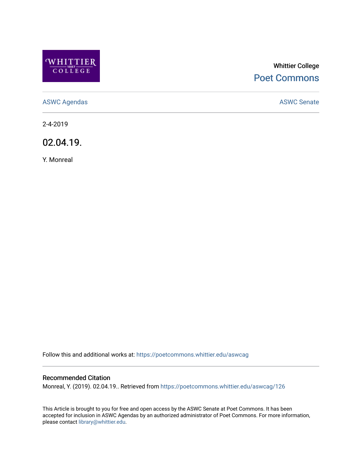

# Whittier College [Poet Commons](https://poetcommons.whittier.edu/)

[ASWC Agendas](https://poetcommons.whittier.edu/aswcag) **ASWC Senate** 

2-4-2019

02.04.19.

Y. Monreal

Follow this and additional works at: [https://poetcommons.whittier.edu/aswcag](https://poetcommons.whittier.edu/aswcag?utm_source=poetcommons.whittier.edu%2Faswcag%2F126&utm_medium=PDF&utm_campaign=PDFCoverPages) 

## Recommended Citation

Monreal, Y. (2019). 02.04.19.. Retrieved from [https://poetcommons.whittier.edu/aswcag/126](https://poetcommons.whittier.edu/aswcag/126?utm_source=poetcommons.whittier.edu%2Faswcag%2F126&utm_medium=PDF&utm_campaign=PDFCoverPages) 

This Article is brought to you for free and open access by the ASWC Senate at Poet Commons. It has been accepted for inclusion in ASWC Agendas by an authorized administrator of Poet Commons. For more information, please contact [library@whittier.edu](mailto:library@whittier.edu).